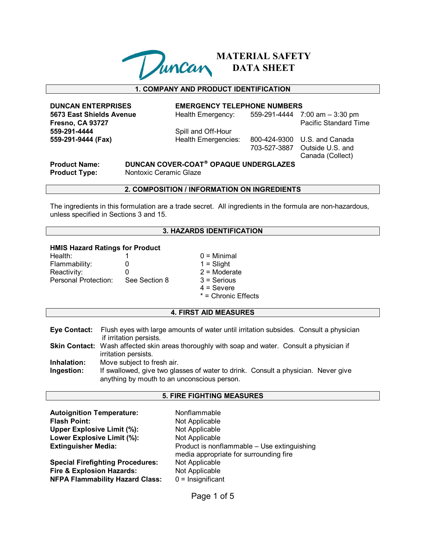

**MATERIAL SAFETY DATA SHEET**

# **1. COMPANY AND PRODUCT IDENTIFICATION**

**5673 East Shields Avenue** Health Emergency: 559-291-4444 7:00 am - 3:30 pm **Fresno, CA 93727 Pacific Standard Time 559-291-4444** Spill and Off-Hour **559-291-9444 (Fax)** Health Emergencies: 800-424-9300 U.S. and Canada

#### **DUNCAN ENTERPRISES EMERGENCY TELEPHONE NUMBERS**

 703-527-3887 Outside U.S. and Canada (Collect)

**Product Name: DUNCAN COVER-COAT® OPAQUE UNDERGLAZES Product Type:** Nontoxic Ceramic Glaze

#### **2. COMPOSITION / INFORMATION ON INGREDIENTS**

The ingredients in this formulation are a trade secret. All ingredients in the formula are non-hazardous, unless specified in Sections 3 and 15.

# **3. HAZARDS IDENTIFICATION**

#### **HMIS Hazard Ratings for Product**

| $\mathbf{0}$  |
|---------------|
| $\mathbf{U}$  |
| See Section 8 |
|               |

 $0 =$  Minimal  $1 =$  Slight  $2$  = Moderate  $3 =$  Serious  $4 =$  Severe \* = Chronic Effects

# **4. FIRST AID MEASURES**

**Eye Contact:** Flush eyes with large amounts of water until irritation subsides. Consult a physician if irritation persists.

Skin Contact: Wash affected skin areas thoroughly with soap and water. Consult a physician if irritation persists.

**Inhalation:** Move subject to fresh air.

**Ingestion:** If swallowed, give two glasses of water to drink. Consult a physician. Never give anything by mouth to an unconscious person.

### **5. FIRE FIGHTING MEASURES**

| <b>Autoignition Temperature:</b><br><b>Flash Point:</b><br>Upper Explosive Limit (%):<br>Lower Explosive Limit (%):<br><b>Extinguisher Media:</b><br><b>Special Firefighting Procedures:</b> | Nonflammable<br>Not Applicable<br>Not Applicable<br>Not Applicable<br>Product is nonflammable - Use extinguishing<br>media appropriate for surrounding fire<br>Not Applicable |
|----------------------------------------------------------------------------------------------------------------------------------------------------------------------------------------------|-------------------------------------------------------------------------------------------------------------------------------------------------------------------------------|
| <b>Fire &amp; Explosion Hazards:</b>                                                                                                                                                         | Not Applicable                                                                                                                                                                |
| <b>NFPA Flammability Hazard Class:</b>                                                                                                                                                       | $0 =$ Insignificant                                                                                                                                                           |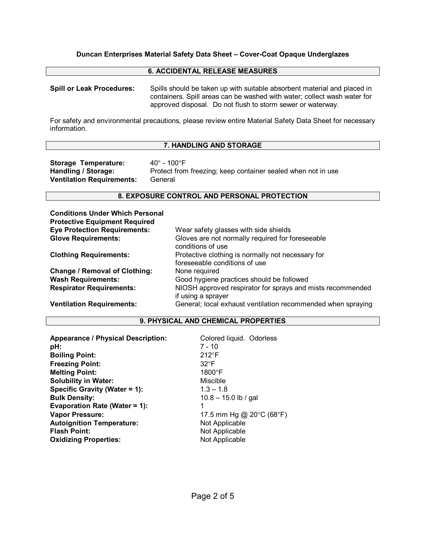### **6. ACCIDENTAL RELEASE MEASURES**

**Spill or Leak Procedures:** Spills should be taken up with suitable absorbent material and placed in containers. Spill areas can be washed with water; collect wash water for approved disposal. Do not flush to storm sewer or waterway.

For safety and environmental precautions, please review entire Material Safety Data Sheet for necessary information.

### **7. HANDLING AND STORAGE**

Storage Temperature: 40° - 100°F **Ventilation Requirements:** General

**Handling / Storage:** Protect from freezing; keep container sealed when not in use

### **8. EXPOSURE CONTROL AND PERSONAL PROTECTION**

| <b>Conditions Under Which Personal</b> |                                                                                    |
|----------------------------------------|------------------------------------------------------------------------------------|
| <b>Protective Equipment Required</b>   |                                                                                    |
| <b>Eye Protection Requirements:</b>    | Wear safety glasses with side shields                                              |
| <b>Glove Requirements:</b>             | Gloves are not normally required for foreseeable<br>conditions of use              |
| <b>Clothing Requirements:</b>          | Protective clothing is normally not necessary for<br>foreseeable conditions of use |
| <b>Change / Removal of Clothing:</b>   | None required                                                                      |
| <b>Wash Requirements:</b>              | Good hygiene practices should be followed                                          |
| <b>Respirator Requirements:</b>        | NIOSH approved respirator for sprays and mists recommended<br>if using a sprayer   |
| <b>Ventilation Requirements:</b>       | General; local exhaust ventilation recommended when spraying                       |

### **9. PHYSICAL AND CHEMICAL PROPERTIES**

| <b>Appearance / Physical Description:</b><br>pH: | Colored liquid. Odorless<br>$7 - 10$ |
|--------------------------------------------------|--------------------------------------|
| <b>Boiling Point:</b>                            | $212^{\circ}F$                       |
| <b>Freezing Point:</b>                           | $32^{\circ}F$                        |
| <b>Melting Point:</b>                            | $1800^\circ F$                       |
| <b>Solubility in Water:</b>                      | Miscible                             |
| Specific Gravity (Water = 1):                    | $1.3 - 1.8$                          |
| <b>Bulk Density:</b>                             | $10.8 - 15.0$ lb / gal               |
| Evaporation Rate (Water = $1$ ):                 | 1                                    |
| <b>Vapor Pressure:</b>                           | 17.5 mm Hg @ 20°C (68°F)             |
| <b>Autoignition Temperature:</b>                 | Not Applicable                       |
| <b>Flash Point:</b>                              | Not Applicable                       |
| <b>Oxidizing Properties:</b>                     | Not Applicable                       |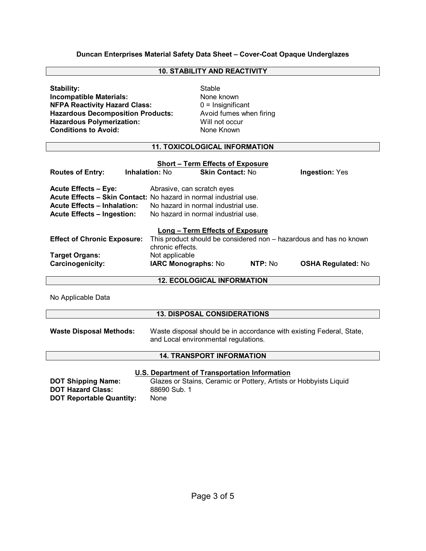# **10. STABILITY AND REACTIVITY**

| Stability:                               | Stable      |
|------------------------------------------|-------------|
| <b>Incompatible Materials:</b>           | None I      |
| <b>NFPA Reactivity Hazard Class:</b>     | $0 = \ln s$ |
| <b>Hazardous Decomposition Products:</b> | Avoid       |
| <b>Hazardous Polymerization:</b>         | Will no     |
| <b>Conditions to Avoid:</b>              | None I      |

**None known** 0 = Insignificant Avoid fumes when firing **Will not occur None Known** 

# **11. TOXICOLOGICAL INFORMATION**

| <b>Short - Term Effects of Exposure</b>                                                                                                                                     |                                                                                        |                                                                                                          |         |                           |
|-----------------------------------------------------------------------------------------------------------------------------------------------------------------------------|----------------------------------------------------------------------------------------|----------------------------------------------------------------------------------------------------------|---------|---------------------------|
| <b>Routes of Entry:</b>                                                                                                                                                     | <b>Inhalation: No</b>                                                                  | <b>Skin Contact: No</b>                                                                                  |         | <b>Ingestion: Yes</b>     |
| <b>Acute Effects - Eye:</b><br>Acute Effects – Skin Contact: No hazard in normal industrial use.<br><b>Acute Effects - Inhalation:</b><br><b>Acute Effects - Ingestion:</b> |                                                                                        | Abrasive, can scratch eyes<br>No hazard in normal industrial use.<br>No hazard in normal industrial use. |         |                           |
|                                                                                                                                                                             |                                                                                        | Long – Term Effects of Exposure                                                                          |         |                           |
| <b>Effect of Chronic Exposure:</b>                                                                                                                                          | This product should be considered non - hazardous and has no known<br>chronic effects. |                                                                                                          |         |                           |
| <b>Target Organs:</b><br>Carcinogenicity:                                                                                                                                   | Not applicable<br><b>IARC Monographs: No</b>                                           |                                                                                                          | NTP: No | <b>OSHA Regulated: No</b> |

# **12. ECOLOGICAL INFORMATION**

No Applicable Data

# **13. DISPOSAL CONSIDERATIONS**

**Waste Disposal Methods:** Waste disposal should be in accordance with existing Federal, State, and Local environmental regulations.

# **14. TRANSPORT INFORMATION**

#### **U.S. Department of Transportation Information**

**DOT Hazard Class:** 88690 Sub. 1 **DOT Reportable Quantity:** None

**DOT Shipping Name:** Glazes or Stains, Ceramic or Pottery, Artists or Hobbyists Liquid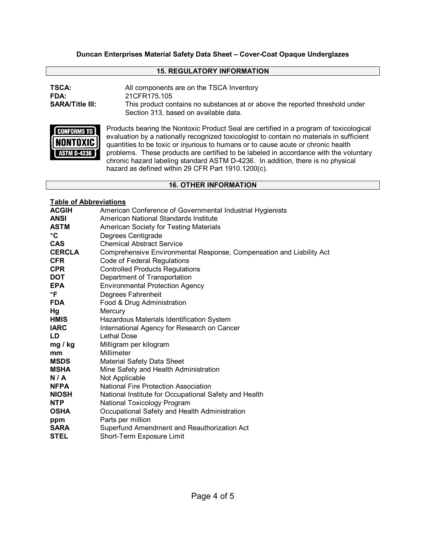# **15. REGULATORY INFORMATION**

| TSCA:                  | All components are on the TSCA Inventory                                                                              |
|------------------------|-----------------------------------------------------------------------------------------------------------------------|
| FDA:                   | 21CFR175.105                                                                                                          |
| <b>SARA/Title III:</b> | This product contains no substances at or above the reported threshold under<br>Section 313, based on available data. |



Products bearing the Nontoxic Product Seal are certified in a program of toxicological evaluation by a nationally recognized toxicologist to contain no materials in sufficient quantities to be toxic or injurious to humans or to cause acute or chronic health problems. These products are certified to be labeled in accordance with the voluntary chronic hazard labeling standard ASTM D-4236. In addition, there is no physical hazard as defined within 29 CFR Part 1910.1200(c).

# **16. OTHER INFORMATION**

# **Table of Abbreviations**

| <b>ACGIH</b>  | American Conference of Governmental Industrial Hygienists            |
|---------------|----------------------------------------------------------------------|
| <b>ANSI</b>   | American National Standards Institute                                |
| ASTM          | American Society for Testing Materials                               |
| °C            | Degrees Centigrade                                                   |
| <b>CAS</b>    | <b>Chemical Abstract Service</b>                                     |
| <b>CERCLA</b> | Comprehensive Environmental Response, Compensation and Liability Act |
| <b>CFR</b>    | Code of Federal Regulations                                          |
| <b>CPR</b>    | <b>Controlled Products Regulations</b>                               |
| <b>DOT</b>    | Department of Transportation                                         |
| <b>EPA</b>    | <b>Environmental Protection Agency</b>                               |
| °F            | Degrees Fahrenheit                                                   |
| <b>FDA</b>    | Food & Drug Administration                                           |
| Hg            | Mercury                                                              |
| <b>HMIS</b>   | Hazardous Materials Identification System                            |
| <b>IARC</b>   | International Agency for Research on Cancer                          |
| <b>LD</b>     | <b>Lethal Dose</b>                                                   |
| mg / kg       | Milligram per kilogram                                               |
| mm            | Millimeter                                                           |
| MSDS          | <b>Material Safety Data Sheet</b>                                    |
| MSHA          | Mine Safety and Health Administration                                |
| N/A           | Not Applicable                                                       |
| <b>NFPA</b>   | National Fire Protection Association                                 |
| <b>NIOSH</b>  | National Institute for Occupational Safety and Health                |
| <b>NTP</b>    | National Toxicology Program                                          |
| <b>OSHA</b>   | Occupational Safety and Health Administration                        |
| ppm           | Parts per million                                                    |
| <b>SARA</b>   | Superfund Amendment and Reauthorization Act                          |
| <b>STEL</b>   | Short-Term Exposure Limit                                            |